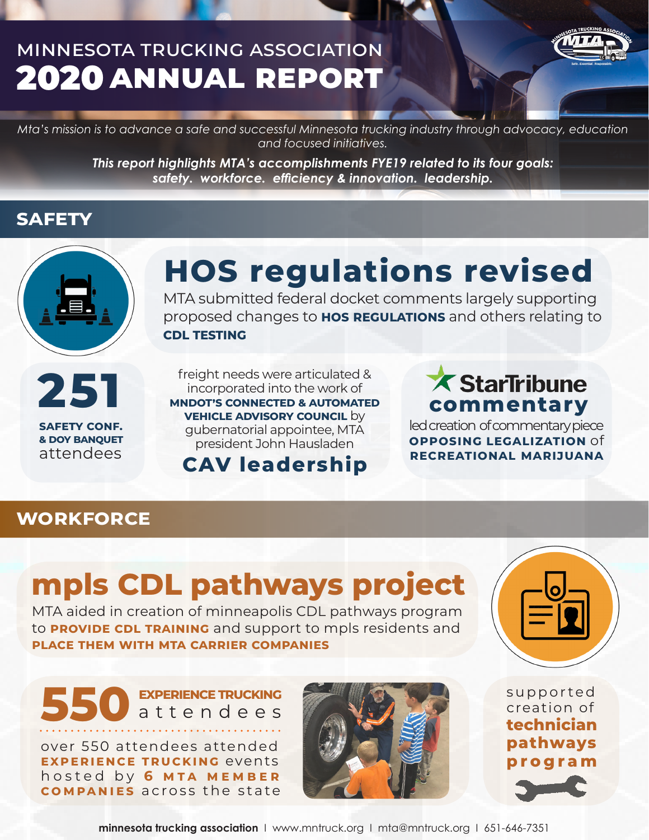### minnesota trucking association 2020**annual report**



*Mta's mission is to advance a safe and successful Minnesota trucking industry through advocacy, education and focused initiatives.* 

> *This report highlights MTA's accomplishments FYE19 related to its four goals: safety. workforce. efficiency & innovation. leadership.*

#### **safety**



# **HOS regulations revised**

MTA submitted federal docket comments largely supporting proposed changes to **hos regulations** and others relating to **cdl testing**



freight needs were articulated & incorporated into the work of **mndot's connected & automated vehicle advisory council** by gubernatorial appointee, MTA president John Hausladen **251 COMMAGE STATE COMMAND FREE COMMAND AND COMMAND COMMAND COMMAND COMMAND COMMAND COMMAND COMMAND COMMAND COMMAND COMMAND COMMAND COMMAND COMMAND COMMAND COMMAND COMMAND COMMAND COMMAND COMMAND COMMAND COMMAND COMMAN** 

#### **CAV leadership**

led creation of commentary piece **opposing legalization** of **recreational marijuana**

#### **workforce**

# **mpls CDL pathways project**

MTA aided in creation of minneapolis CDL pathways program to **PROVIDE CDL TRAINING** and support to mpls residents and **place them with mta carrier companies**



**550experience trucking** attendees

over 550 attendees attended **experience trucking** events hosted by 6 MTA MEMBER **companies** across the state



supported creation of **technician pathways program**

**minnesota trucking association** I www.mntruck.org I mta@mntruck.org I 651-646-7351